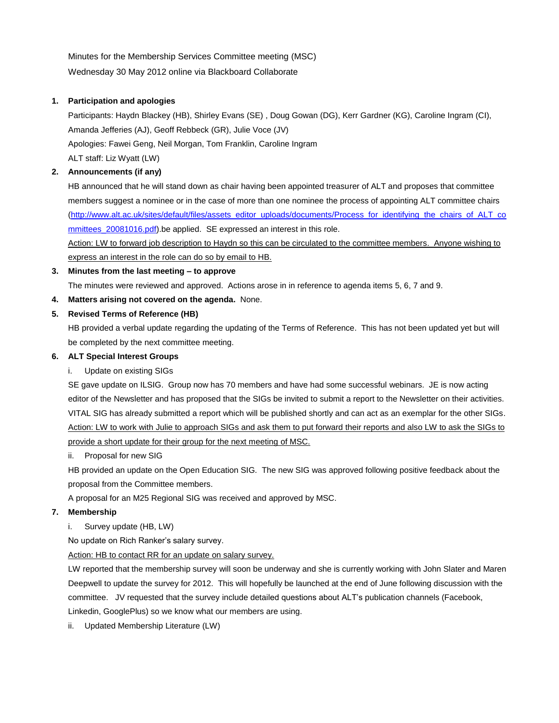Minutes for the Membership Services Committee meeting (MSC) Wednesday 30 May 2012 online via Blackboard Collaborate

### **1. Participation and apologies**

Participants: Haydn Blackey (HB), Shirley Evans (SE) , Doug Gowan (DG), Kerr Gardner (KG), Caroline Ingram (CI), Amanda Jefferies (AJ), Geoff Rebbeck (GR), Julie Voce (JV) Apologies: Fawei Geng, Neil Morgan, Tom Franklin, Caroline Ingram ALT staff: Liz Wyatt (LW)

# **2. Announcements (if any)**

HB announced that he will stand down as chair having been appointed treasurer of ALT and proposes that committee members suggest a nominee or in the case of more than one nominee the process of appointing ALT committee chairs [\(http://www.alt.ac.uk/sites/default/files/assets\\_editor\\_uploads/documents/Process\\_for\\_identifying\\_the\\_chairs\\_of\\_ALT\\_co](http://www.alt.ac.uk/sites/default/files/assets_editor_uploads/documents/Process_for_identifying_the_chairs_of_ALT_committees_20081016.pdf) [mmittees\\_20081016.pdf\)](http://www.alt.ac.uk/sites/default/files/assets_editor_uploads/documents/Process_for_identifying_the_chairs_of_ALT_committees_20081016.pdf).be applied. SE expressed an interest in this role.

Action: LW to forward job description to Haydn so this can be circulated to the committee members. Anyone wishing to express an interest in the role can do so by email to HB.

# **3. Minutes from the last meeting – to approve**

The minutes were reviewed and approved. Actions arose in in reference to agenda items 5, 6, 7 and 9.

# **4. Matters arising not covered on the agenda.** None.

# **5. Revised Terms of Reference (HB)**

HB provided a verbal update regarding the updating of the Terms of Reference. This has not been updated yet but will be completed by the next committee meeting.

### **6. ALT Special Interest Groups**

i. Update on existing SIGs

SE gave update on ILSIG. Group now has 70 members and have had some successful webinars. JE is now acting editor of the Newsletter and has proposed that the SIGs be invited to submit a report to the Newsletter on their activities. VITAL SIG has already submitted a report which will be published shortly and can act as an exemplar for the other SIGs. Action: LW to work with Julie to approach SIGs and ask them to put forward their reports and also LW to ask the SIGs to provide a short update for their group for the next meeting of MSC.

ii. Proposal for new SIG

HB provided an update on the Open Education SIG. The new SIG was approved following positive feedback about the proposal from the Committee members.

A proposal for an M25 Regional SIG was received and approved by MSC.

# **7. Membership**

i. Survey update (HB, LW)

No update on Rich Ranker's salary survey.

Action: HB to contact RR for an update on salary survey.

LW reported that the membership survey will soon be underway and she is currently working with John Slater and Maren Deepwell to update the survey for 2012. This will hopefully be launched at the end of June following discussion with the committee. JV requested that the survey include detailed questions about ALT's publication channels (Facebook, Linkedin, GooglePlus) so we know what our members are using.

ii. Updated Membership Literature (LW)